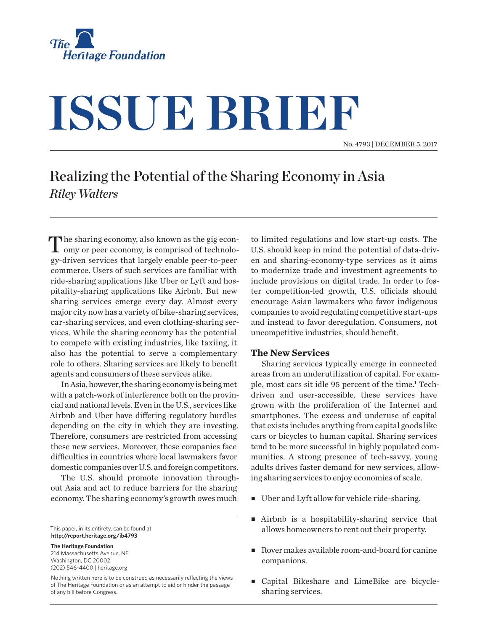

## **ISSUE BRIEF**

No. 4793 | December 5, 2017

## Realizing the Potential of the Sharing Economy in Asia *Riley Walters*

The sharing economy, also known as the gig econ-<br>omy or peer economy, is comprised of technology-driven services that largely enable peer-to-peer commerce. Users of such services are familiar with ride-sharing applications like Uber or Lyft and hospitality-sharing applications like Airbnb. But new sharing services emerge every day. Almost every major city now has a variety of bike-sharing services, car-sharing services, and even clothing-sharing services. While the sharing economy has the potential to compete with existing industries, like taxiing, it also has the potential to serve a complementary role to others. Sharing services are likely to benefit agents and consumers of these services alike.

In Asia, however, the sharing economy is being met with a patch-work of interference both on the provincial and national levels. Even in the U.S., services like Airbnb and Uber have differing regulatory hurdles depending on the city in which they are investing. Therefore, consumers are restricted from accessing these new services. Moreover, these companies face difficulties in countries where local lawmakers favor domestic companies over U.S. and foreign competitors.

The U.S. should promote innovation throughout Asia and act to reduce barriers for the sharing economy. The sharing economy's growth owes much

This paper, in its entirety, can be found at **http://report.heritage.org/ib4793**

**The Heritage Foundation** 214 Massachusetts Avenue, NE Washington, DC 20002 (202) 546-4400 | heritage.org

Nothing written here is to be construed as necessarily reflecting the views of The Heritage Foundation or as an attempt to aid or hinder the passage of any bill before Congress.

to limited regulations and low start-up costs. The U.S. should keep in mind the potential of data-driven and sharing-economy-type services as it aims to modernize trade and investment agreements to include provisions on digital trade. In order to foster competition-led growth, U.S. officials should encourage Asian lawmakers who favor indigenous companies to avoid regulating competitive start-ups and instead to favor deregulation. Consumers, not uncompetitive industries, should benefit.

## **The New Services**

Sharing services typically emerge in connected areas from an underutilization of capital. For example, most cars sit idle 95 percent of the time.<sup>1</sup> Techdriven and user-accessible, these services have grown with the proliferation of the Internet and smartphones. The excess and underuse of capital that exists includes anything from capital goods like cars or bicycles to human capital. Sharing services tend to be more successful in highly populated communities. A strong presence of tech-savvy, young adults drives faster demand for new services, allowing sharing services to enjoy economies of scale.

- <sup>n</sup> Uber and Lyft allow for vehicle ride-sharing.
- $\blacksquare$  Airbnb is a hospitability-sharing service that allows homeowners to rent out their property.
- Rover makes available room-and-board for canine companions.
- <sup>n</sup> Capital Bikeshare and LimeBike are bicyclesharing services.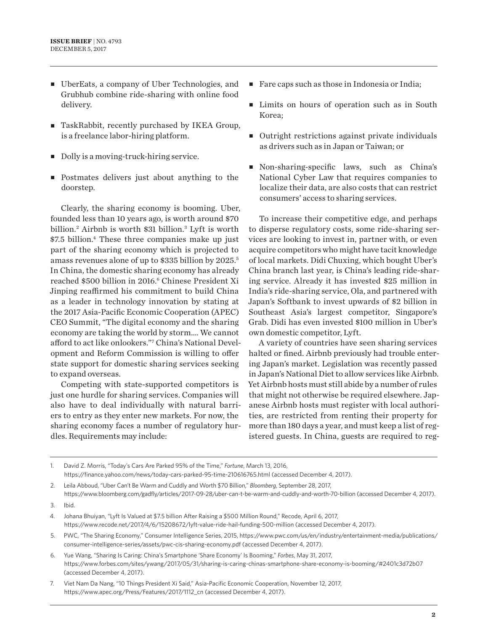- UberEats, a company of Uber Technologies, and Grubhub combine ride-sharing with online food delivery.
- TaskRabbit, recently purchased by IKEA Group, is a freelance labor-hiring platform.
- Dolly is a moving-truck-hiring service.
- <sup>n</sup> Postmates delivers just about anything to the doorstep.

Clearly, the sharing economy is booming. Uber, founded less than 10 years ago, is worth around \$70 billion.2 Airbnb is worth \$31 billion.3 Lyft is worth \$7.5 billion.4 These three companies make up just part of the sharing economy which is projected to amass revenues alone of up to \$335 billion by 2025.5 In China, the domestic sharing economy has already reached \$500 billion in 2016.<sup>6</sup> Chinese President Xi Jinping reaffirmed his commitment to build China as a leader in technology innovation by stating at the 2017 Asia-Pacific Economic Cooperation (APEC) CEO Summit, "The digital economy and the sharing economy are taking the world by storm.… We cannot afford to act like onlookers."7 China's National Development and Reform Commission is willing to offer state support for domestic sharing services seeking to expand overseas.

Competing with state-supported competitors is just one hurdle for sharing services. Companies will also have to deal individually with natural barriers to entry as they enter new markets. For now, the sharing economy faces a number of regulatory hurdles. Requirements may include:

- $\blacksquare$  Fare caps such as those in Indonesia or India;
- Limits on hours of operation such as in South Korea;
- Outright restrictions against private individuals as drivers such as in Japan or Taiwan; or
- <sup>n</sup> Non-sharing-specific laws, such as China's National Cyber Law that requires companies to localize their data, are also costs that can restrict consumers' access to sharing services.

To increase their competitive edge, and perhaps to disperse regulatory costs, some ride-sharing services are looking to invest in, partner with, or even acquire competitors who might have tacit knowledge of local markets. Didi Chuxing, which bought Uber's China branch last year, is China's leading ride-sharing service. Already it has invested \$25 million in India's ride-sharing service, Ola, and partnered with Japan's Softbank to invest upwards of \$2 billion in Southeast Asia's largest competitor, Singapore's Grab. Didi has even invested \$100 million in Uber's own domestic competitor, Lyft.

A variety of countries have seen sharing services halted or fined. Airbnb previously had trouble entering Japan's market. Legislation was recently passed in Japan's National Diet to allow services like Airbnb. Yet Airbnb hosts must still abide by a number of rules that might not otherwise be required elsewhere. Japanese Airbnb hosts must register with local authorities, are restricted from renting their property for more than 180 days a year, and must keep a list of registered guests. In China, guests are required to reg-

- 2. Leila Abboud, "Uber Can't Be Warm and Cuddly and Worth \$70 Billion," *Bloomberg*, September 28, 2017, https://www.bloomberg.com/gadfly/articles/2017-09-28/uber-can-t-be-warm-and-cuddly-and-worth-70-billion (accessed December 4, 2017).
- 3. Ibid.

- 5. PWC, "The Sharing Economy," Consumer Intelligence Series, 2015, https://www.pwc.com/us/en/industry/entertainment-media/publications/ consumer-intelligence-series/assets/pwc-cis-sharing-economy.pdf (accessed December 4, 2017).
- 6. Yue Wang, "Sharing Is Caring: China's Smartphone 'Share Economy' Is Booming," *Forbes*, May 31, 2017, https://www.forbes.com/sites/ywang/2017/05/31/sharing-is-caring-chinas-smartphone-share-economy-is-booming/#2401c3d72b07 (accessed December 4, 2017).
- 7. Viet Nam Da Nang, "10 Things President Xi Said," Asia-Pacific Economic Cooperation, November 12, 2017, https://www.apec.org/Press/Features/2017/1112\_cn (accessed December 4, 2017).

<sup>1.</sup> David Z. Morris, "Today's Cars Are Parked 95% of the Time," *Fortune*, March 13, 2016, https://finance.yahoo.com/news/today-cars-parked-95-time-210616765.html (accessed December 4, 2017).

<sup>4.</sup> Johana Bhuiyan, "Lyft Is Valued at \$7.5 billion After Raising a \$500 Million Round," Recode, April 6, 2017, https://www.recode.net/2017/4/6/15208672/lyft-value-ride-hail-funding-500-million (accessed December 4, 2017).